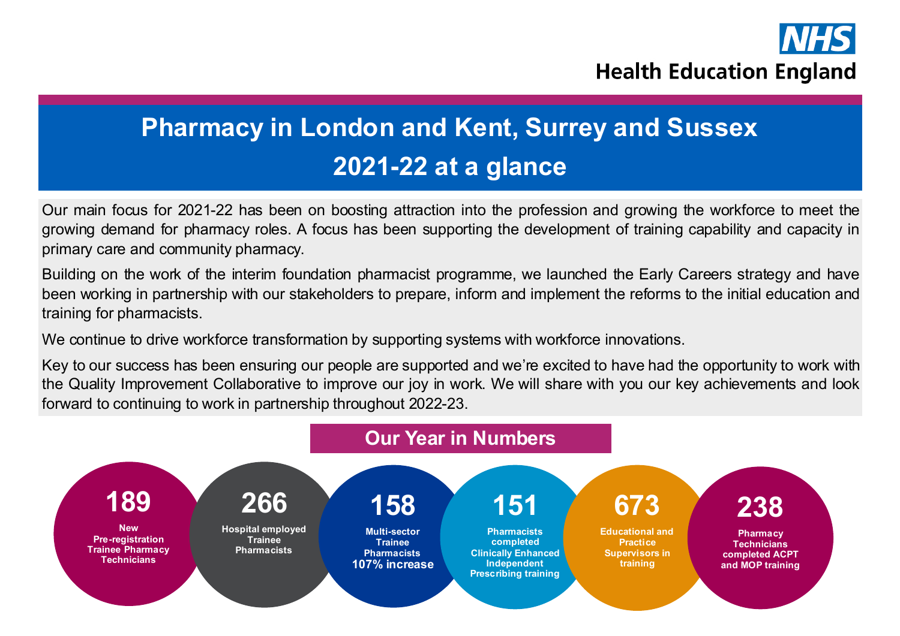

# **Pharmacy in London and Kent, Surrey and Sussex 2021-22 at a glance**

Our main focus for 2021-22 has been on boosting attraction into the profession and growing the workforce to meet the growing demand for pharmacy roles. A focus has been supporting the development of training capability and capacity in primary care and community pharmacy.

Building on the work of the interim foundation pharmacist programme, we launched the Early Careers strategy and have been working in partnership with our stakeholders to prepare, inform and implement the reforms to the initial education and training for pharmacists.

We continue to drive workforce transformation by supporting systems with workforce innovations.

Key to our success has been ensuring our people are supported and we're excited to have had the opportunity to work with the Quality Improvement Collaborative to improve our joy in work. We will share with you our key achievements and look forward to continuing to work in partnership throughout 2022-23.

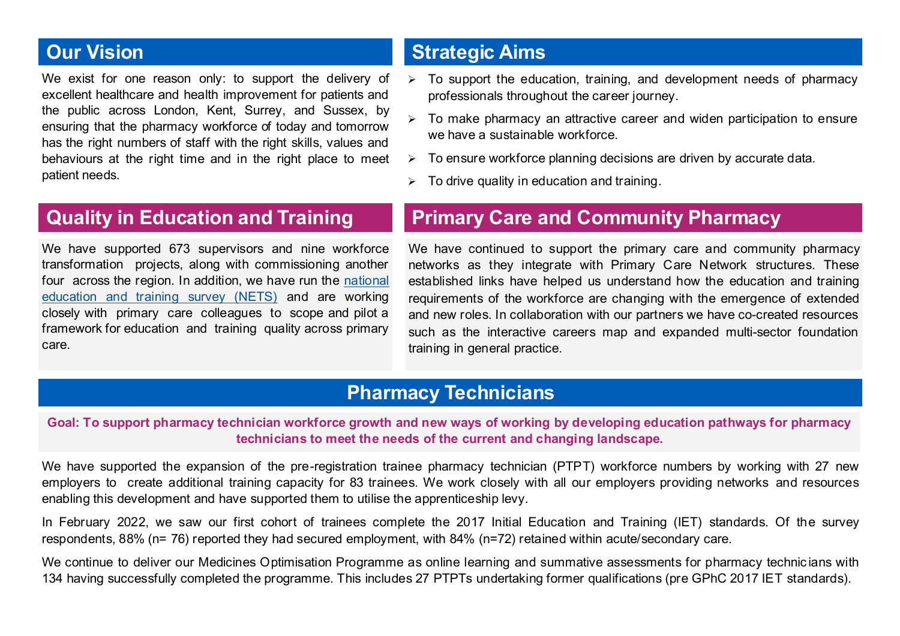# **Our Vision**

We exist for one reason only: to support the delivery of excellent healthcare and health improvement for patients and the public across London, Kent, Surrey, and Sussex, by ensuring that the pharmacy workforce of today and tomorrow has the right numbers of staff with the right skills, values and behaviours at the right time and in the right place to meet patient needs.

# **Strategic Aims**

- ➢ To support the education, training, and development needs of pharmacy professionals throughout the career journey.
- ➢ To make pharmacy an attractive career and widen participation to ensure we have a sustainable workforce.
- $\triangleright$  To ensure workforce planning decisions are driven by accurate data.
- $\triangleright$  To drive quality in education and training.

# **Quality in Education and Training**

We have supported 673 supervisors and nine workforce transformation projects, along with commissioning another four across the region. In addition, we have run the [national](https://www.hee.nhs.uk/our-work/quality/national-education-training-survey)  [education and training survey \(NETS\)](https://www.hee.nhs.uk/our-work/quality/national-education-training-survey) and are working closely with primary care colleagues to scope and pilot a framework for education and training quality across primary care.

# **Primary Care and Community Pharmacy**

We have continued to support the primary care and community pharmacy networks as they integrate with Primary Care Network structures. These established links have helped us understand how the education and training requirements of the workforce are changing with the emergence of extended and new roles. In collaboration with our partners we have co-created resources such as the interactive careers map and expanded multi-sector foundation training in general practice.

# **Pharmacy Technicians**

**Goal: To support pharmacy technician workforce growth and new ways of working by developing education pathways for pharmacy technicians to meet the needs of the current and changing landscape.**

We have supported the expansion of the pre-registration trainee pharmacy technician (PTPT) workforce numbers by working with 27 new employers to create additional training capacity for 83 trainees. We work closely with all our employers providing networks and resources enabling this development and have supported them to utilise the apprenticeship levy.

In February 2022, we saw our first cohort of trainees complete the 2017 Initial Education and Training (IET) standards. Of the survey respondents, 88% (n= 76) reported they had secured employment, with 84% (n=72) retained within acute/secondary care.

We continue to deliver our Medicines Optimisation Programme as online learning and summative assessments for pharmacy technicians with 134 having successfully completed the programme. This includes 27 PTPTs undertaking former qualifications (pre GPhC 2017 IET standards).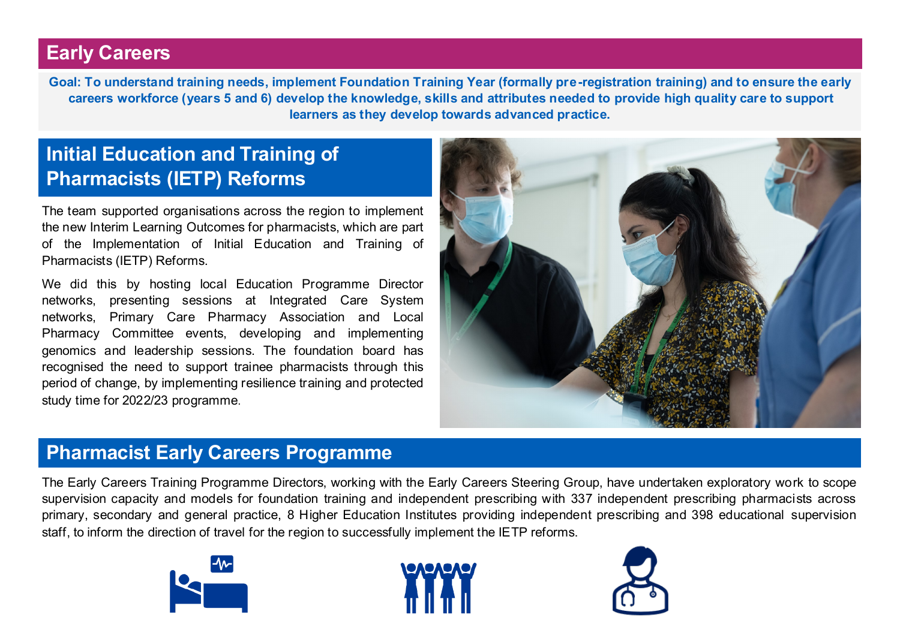# **Early Careers**

**Goal: To understand training needs, implement Foundation Training Year (formally pre-registration training) and to ensure the early careers workforce (years 5 and 6) develop the knowledge, skills and attributes needed to provide high quality care to support learners as they develop towards advanced practice.** 

# **Initial Education and Training of Pharmacists (IETP) Reforms**

The team supported organisations across the region to implement the new Interim Learning Outcomes for pharmacists, which are part of the Implementation of Initial Education and Training of Pharmacists (IETP) Reforms.

We did this by hosting local Education Programme Director networks, presenting sessions at Integrated Care System networks, Primary Care Pharmacy Association and Local Pharmacy Committee events, developing and implementing genomics and leadership sessions. The foundation board has recognised the need to support trainee pharmacists through this period of change, by implementing resilience training and protected study time for 2022/23 programme.



#### **Pharmacist Early Careers Programme**

The Early Careers Training Programme Directors, working with the Early Careers Steering Group, have undertaken exploratory work to scope supervision capacity and models for foundation training and independent prescribing with 337 independent prescribing pharmacists across primary, secondary and general practice, 8 Higher Education Institutes providing independent prescribing and 398 educational supervision staff, to inform the direction of travel for the region to successfully implement the IETP reforms.





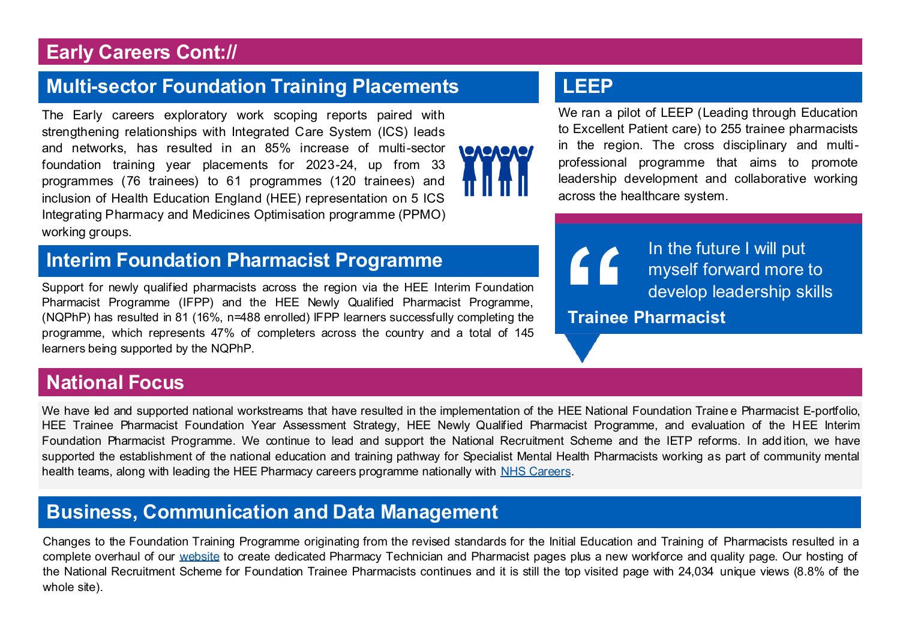# **Early Careers Cont://**

# **Multi-sector Foundation Training Placements**

The Early careers exploratory work scoping reports paired with strengthening relationships with Integrated Care System (ICS) leads and networks, has resulted in an 85% increase of multi-sector foundation training year placements for 2023-24, up from 33 programmes (76 trainees) to 61 programmes (120 trainees) and inclusion of Health Education England (HEE) representation on 5 ICS Integrating Pharmacy and Medicines Optimisation programme (PPMO) working groups.

# **Interim Foundation Pharmacist Programme**

Support for newly qualified pharmacists across the region via the HEE Interim Foundation Pharmacist Programme (IFPP) and the HEE Newly Qualified Pharmacist Programme, (NQPhP) has resulted in 81 (16%, n=488 enrolled) IFPP learners successfully completing the programme, which represents 47% of completers across the country and a total of 145 learners being supported by the NQPhP.

#### **National Focus**

We have led and supported national workstreams that have resulted in the implementation of the HEE National Foundation Traine e Pharmacist E-portfolio. HEE Trainee Pharmacist Foundation Year Assessment Strategy, HEE Newly Qualified Pharmacist Programme, and evaluation of the HEE Interim Foundation Pharmacist Programme. We continue to lead and support the National Recruitment Scheme and the IETP reforms. In add ition, we have supported the establishment of the national education and training pathway for Specialist Mental Health Pharmacists working as part of community mental health teams, along with leading the HEE Pharmacy careers programme nationally with [NHS Careers.](ealthcareers.nhs.uk/explore-roles/explore-roles/pharmacy/pharmacy)

# **Business, Communication and Data Management**

Changes to the Foundation Training Programme originating from the revised standards for the Initial Education and Training of Pharmacists resulted in a complete overhaul of our [website](https://www.lasepharmacy.hee.nhs.uk) to create dedicated Pharmacy Technician and Pharmacist pages plus a new workforce and quality page. Our hosting of the National Recruitment Scheme for Foundation Trainee Pharmacists continues and it is still the top visited page with 24,034 unique views (8.8% of the whole site).

# **LEEP**

We ran a pilot of LEEP (Leading through Education to Excellent Patient care) to 255 trainee pharmacists in the region. The cross disciplinary and multiprofessional programme that aims to promote leadership development and collaborative working across the healthcare system.

In the future I will put<br>myself forward more the develop leadership sk<br>Trainee Pharmacist myself forward more to develop leadership skills

**Trainee Pharmacist**